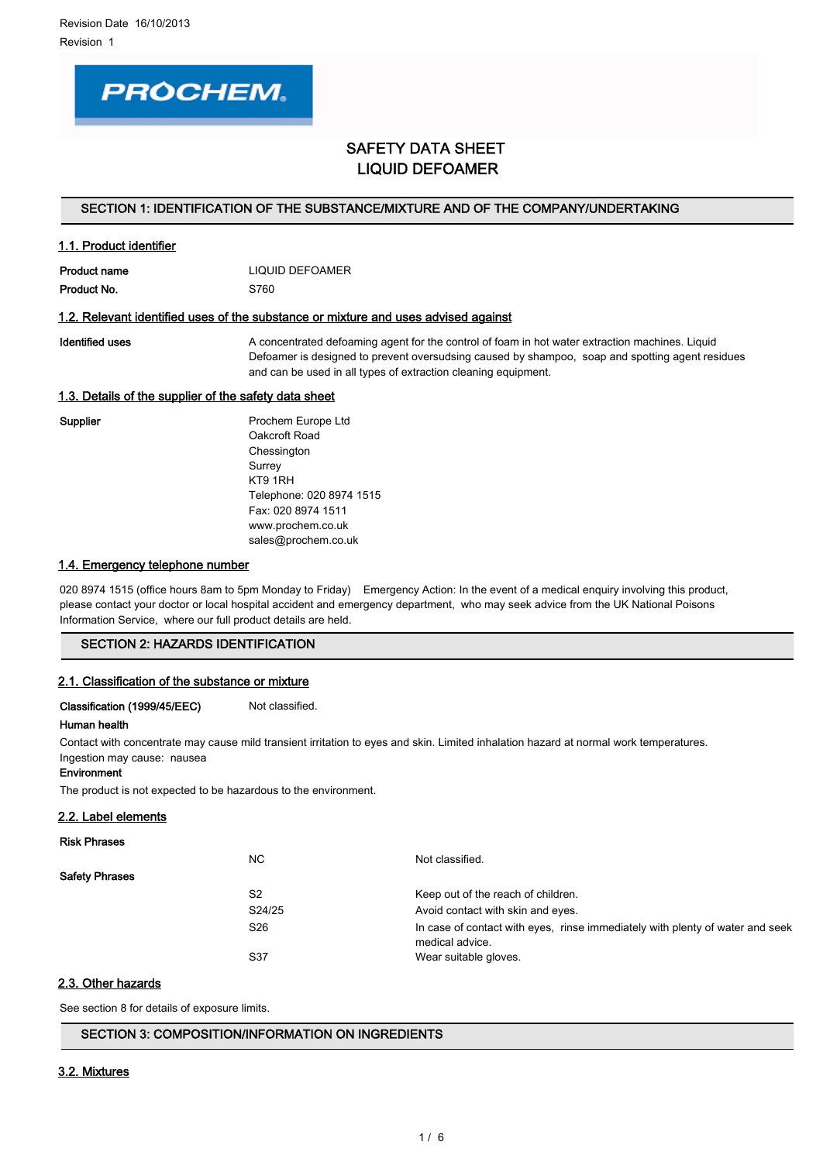

# SAFETY DATA SHEET LIQUID DEFOAMER

#### SECTION 1: IDENTIFICATION OF THE SUBSTANCE/MIXTURE AND OF THE COMPANY/UNDERTAKING

| 1.1. Product identifier |                 |
|-------------------------|-----------------|
| Product name            | LIQUID DEFOAMER |
| Product No.             | S760            |

#### 1.2. Relevant identified uses of the substance or mixture and uses advised against

Identified uses **A** concentrated defoaming agent for the control of foam in hot water extraction machines. Liquid Defoamer is designed to prevent oversudsing caused by shampoo, soap and spotting agent residues and can be used in all types of extraction cleaning equipment.

#### 1.3. Details of the supplier of the safety data sheet

Supplier **Prochem Europe Ltd** Oakcroft Road **Chessington** Surrey KT9 1RH Telephone: 020 8974 1515 Fax: 020 8974 1511 www.prochem.co.uk sales@prochem.co.uk

#### 1.4. Emergency telephone number

020 8974 1515 (office hours 8am to 5pm Monday to Friday) Emergency Action: In the event of a medical enquiry involving this product, please contact your doctor or local hospital accident and emergency department, who may seek advice from the UK National Poisons Information Service, where our full product details are held.

## SECTION 2: HAZARDS IDENTIFICATION

#### 2.1. Classification of the substance or mixture

Classification (1999/45/EEC) Not classified.

## Human health

Contact with concentrate may cause mild transient irritation to eyes and skin. Limited inhalation hazard at normal work temperatures. Ingestion may cause: nausea

#### Environment

The product is not expected to be hazardous to the environment.

#### 2.2. Label elements

| <b>Risk Phrases</b>                                  |                                                                               |
|------------------------------------------------------|-------------------------------------------------------------------------------|
| NC.<br>Not classified.                               |                                                                               |
| <b>Safety Phrases</b>                                |                                                                               |
| S <sub>2</sub><br>Keep out of the reach of children. |                                                                               |
| S24/25<br>Avoid contact with skin and eyes.          |                                                                               |
| S <sub>26</sub><br>medical advice.                   | In case of contact with eyes, rinse immediately with plenty of water and seek |
| S37<br>Wear suitable gloves.                         |                                                                               |

#### 2.3. Other hazards

See section 8 for details of exposure limits.

## SECTION 3: COMPOSITION/INFORMATION ON INGREDIENTS

#### 3.2. Mixtures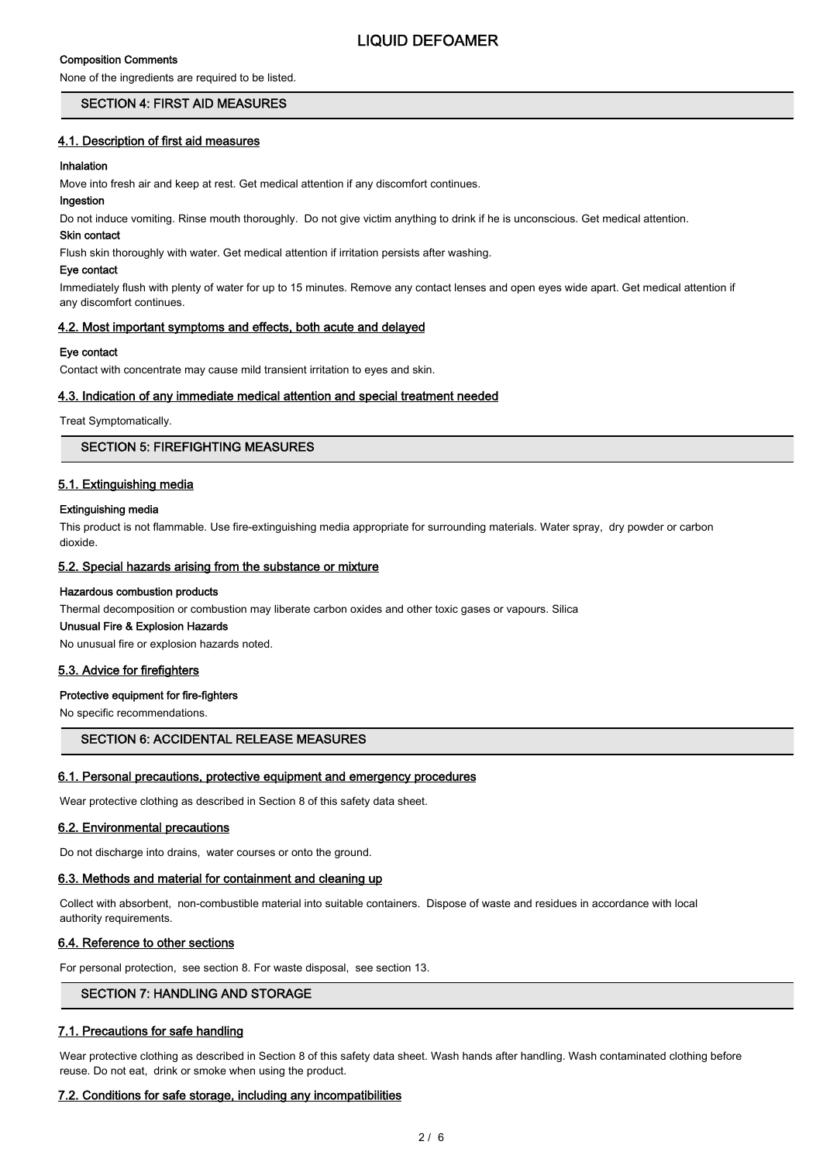# Composition Comments

LIQUID DEFOAMER

# None of the ingredients are required to be listed. SECTION 4: FIRST AID MEASURES

# 4.1. Description of first aid measures

# Inhalation

Move into fresh air and keep at rest. Get medical attention if any discomfort continues.

# Ingestion

Do not induce vomiting. Rinse mouth thoroughly. Do not give victim anything to drink if he is unconscious. Get medical attention.

#### Skin contact

Flush skin thoroughly with water. Get medical attention if irritation persists after washing.

#### Eye contact

Immediately flush with plenty of water for up to 15 minutes. Remove any contact lenses and open eyes wide apart. Get medical attention if any discomfort continues.

## 4.2. Most important symptoms and effects, both acute and delayed

## Eye contact

Contact with concentrate may cause mild transient irritation to eyes and skin.

# 4.3. Indication of any immediate medical attention and special treatment needed

Treat Symptomatically.

# SECTION 5: FIREFIGHTING MEASURES

## 5.1. Extinguishing media

#### Extinguishing media

This product is not flammable. Use fire-extinguishing media appropriate for surrounding materials. Water spray, dry powder or carbon dioxide.

### 5.2. Special hazards arising from the substance or mixture

#### Hazardous combustion products

Thermal decomposition or combustion may liberate carbon oxides and other toxic gases or vapours. Silica

# Unusual Fire & Explosion Hazards

No unusual fire or explosion hazards noted.

# 5.3. Advice for firefighters

#### Protective equipment for fire-fighters

No specific recommendations.

# SECTION 6: ACCIDENTAL RELEASE MEASURES

#### 6.1. Personal precautions, protective equipment and emergency procedures

Wear protective clothing as described in Section 8 of this safety data sheet.

#### 6.2. Environmental precautions

Do not discharge into drains, water courses or onto the ground.

#### 6.3. Methods and material for containment and cleaning up

Collect with absorbent, non-combustible material into suitable containers. Dispose of waste and residues in accordance with local authority requirements.

### 6.4. Reference to other sections

For personal protection, see section 8. For waste disposal, see section 13.

# SECTION 7: HANDLING AND STORAGE

# 7.1. Precautions for safe handling

Wear protective clothing as described in Section 8 of this safety data sheet. Wash hands after handling. Wash contaminated clothing before reuse. Do not eat, drink or smoke when using the product.

#### 7.2. Conditions for safe storage, including any incompatibilities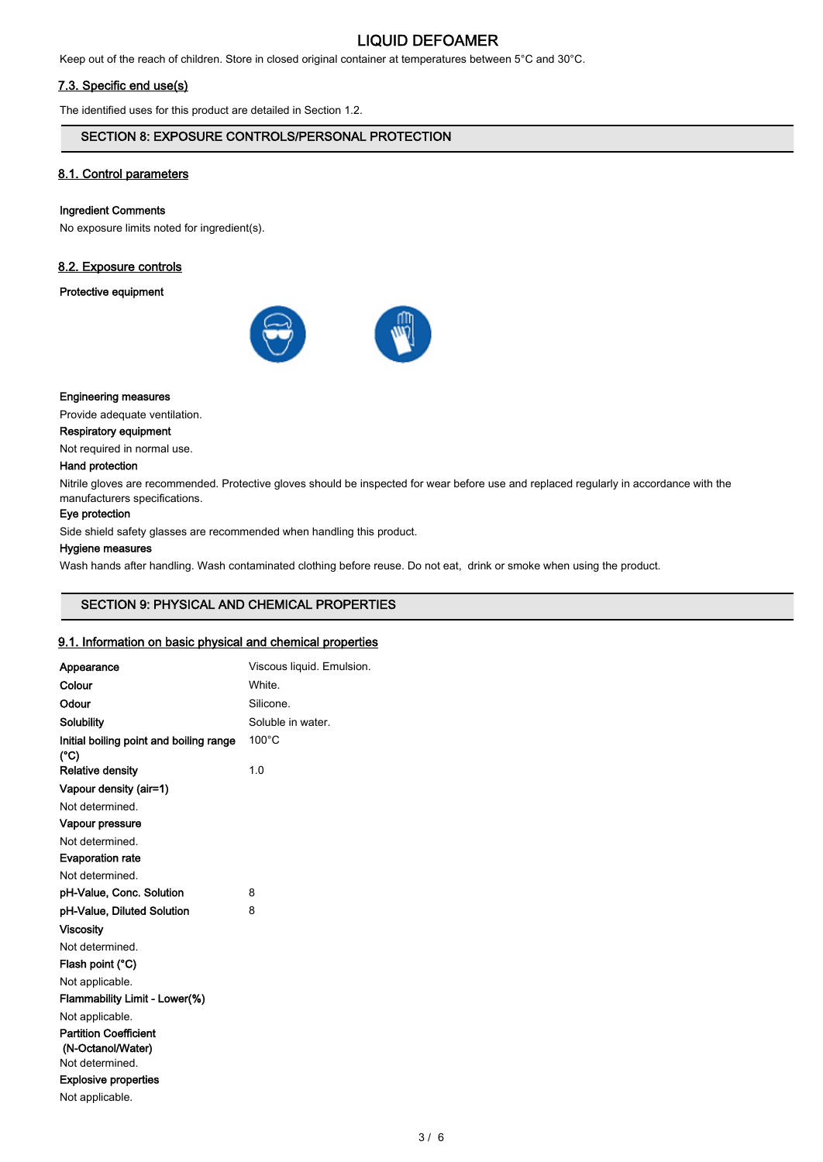# LIQUID DEFOAMER

Keep out of the reach of children. Store in closed original container at temperatures between 5°C and 30°C.

## 7.3. Specific end use(s)

The identified uses for this product are detailed in Section 1.2.

# SECTION 8: EXPOSURE CONTROLS/PERSONAL PROTECTION

# 8.1. Control parameters

#### Ingredient Comments

No exposure limits noted for ingredient(s).

#### 8.2. Exposure controls

# Protective equipment



#### Engineering measures

Provide adequate ventilation.

Respiratory equipment

Not required in normal use.

#### Hand protection

Nitrile gloves are recommended. Protective gloves should be inspected for wear before use and replaced regularly in accordance with the manufacturers specifications.

## Eye protection

Side shield safety glasses are recommended when handling this product.

#### Hygiene measures

Wash hands after handling. Wash contaminated clothing before reuse. Do not eat, drink or smoke when using the product.

# SECTION 9: PHYSICAL AND CHEMICAL PROPERTIES

#### 9.1. Information on basic physical and chemical properties

| Appearance                                        | Viscous liquid. Emulsion. |
|---------------------------------------------------|---------------------------|
| Colour                                            | White                     |
| Odour                                             | Silicone.                 |
| <b>Solubility</b>                                 | Soluble in water.         |
| Initial boiling point and boiling range<br>(°C)   | $100^{\circ}$ C           |
| <b>Relative density</b>                           | 1.0                       |
| Vapour density (air=1)                            |                           |
| Not determined.                                   |                           |
| Vapour pressure                                   |                           |
| Not determined.                                   |                           |
| <b>Evaporation rate</b>                           |                           |
| Not determined.                                   |                           |
| pH-Value, Conc. Solution                          | 8                         |
| pH-Value, Diluted Solution                        | 8                         |
| Viscositv                                         |                           |
| Not determined.                                   |                           |
| Flash point (°C)                                  |                           |
| Not applicable.                                   |                           |
| Flammability Limit - Lower(%)                     |                           |
| Not applicable.                                   |                           |
| <b>Partition Coefficient</b><br>(N-Octanol/Water) |                           |
| Not determined.                                   |                           |
| <b>Explosive properties</b>                       |                           |
| Not applicable.                                   |                           |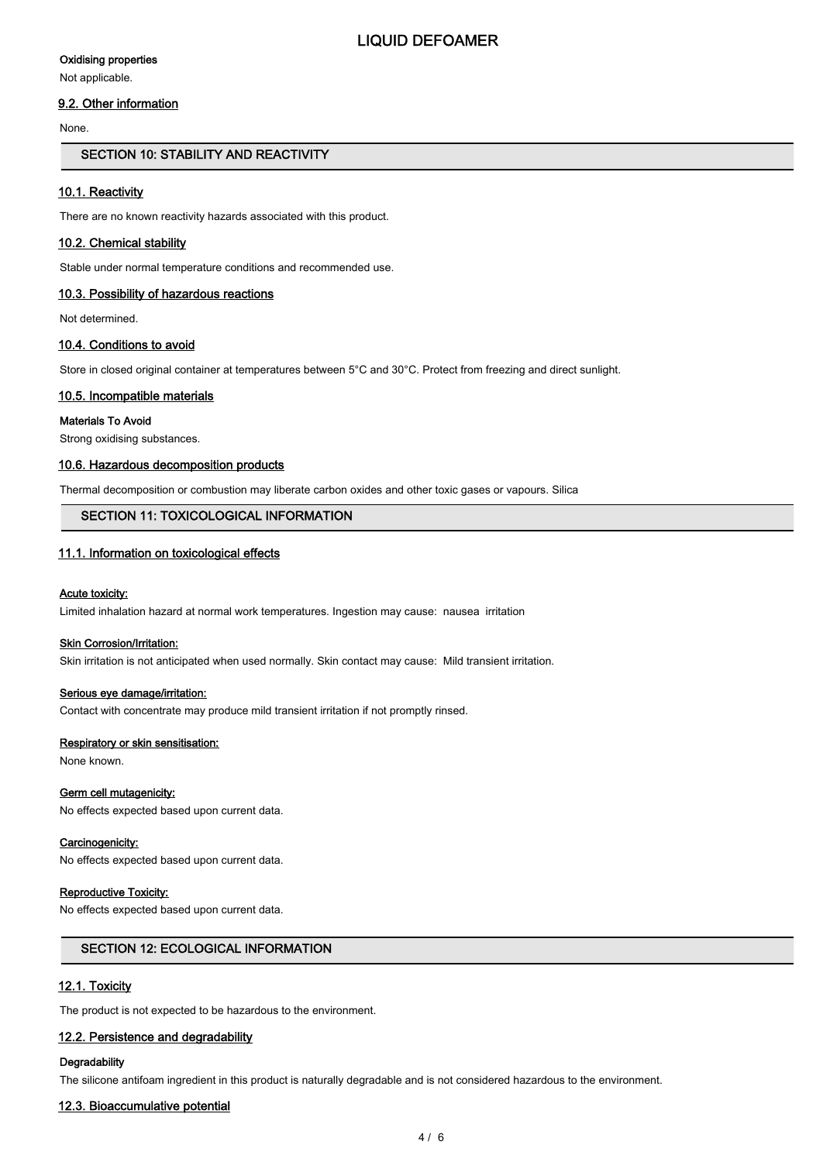#### Oxidising properties

Not applicable.

### 9.2. Other information

None.

## SECTION 10: STABILITY AND REACTIVITY

#### 10.1. Reactivity

There are no known reactivity hazards associated with this product.

#### 10.2. Chemical stability

Stable under normal temperature conditions and recommended use.

#### 10.3. Possibility of hazardous reactions

Not determined.

#### 10.4. Conditions to avoid

Store in closed original container at temperatures between 5°C and 30°C. Protect from freezing and direct sunlight.

#### 10.5. Incompatible materials

#### Materials To Avoid

Strong oxidising substances.

#### 10.6. Hazardous decomposition products

Thermal decomposition or combustion may liberate carbon oxides and other toxic gases or vapours. Silica

# SECTION 11: TOXICOLOGICAL INFORMATION

#### 11.1. Information on toxicological effects

#### Acute toxicity:

Limited inhalation hazard at normal work temperatures. Ingestion may cause: nausea irritation

#### Skin Corrosion/Irritation:

Skin irritation is not anticipated when used normally. Skin contact may cause: Mild transient irritation.

#### Serious eye damage/irritation:

Contact with concentrate may produce mild transient irritation if not promptly rinsed.

#### Respiratory or skin sensitisation:

None known.

#### Germ cell mutagenicity:

No effects expected based upon current data.

#### Carcinogenicity:

No effects expected based upon current data.

#### Reproductive Toxicity:

No effects expected based upon current data.

### SECTION 12: ECOLOGICAL INFORMATION

#### 12.1. Toxicity

The product is not expected to be hazardous to the environment.

# 12.2. Persistence and degradability

# **Degradability**

The silicone antifoam ingredient in this product is naturally degradable and is not considered hazardous to the environment.

# 12.3. Bioaccumulative potential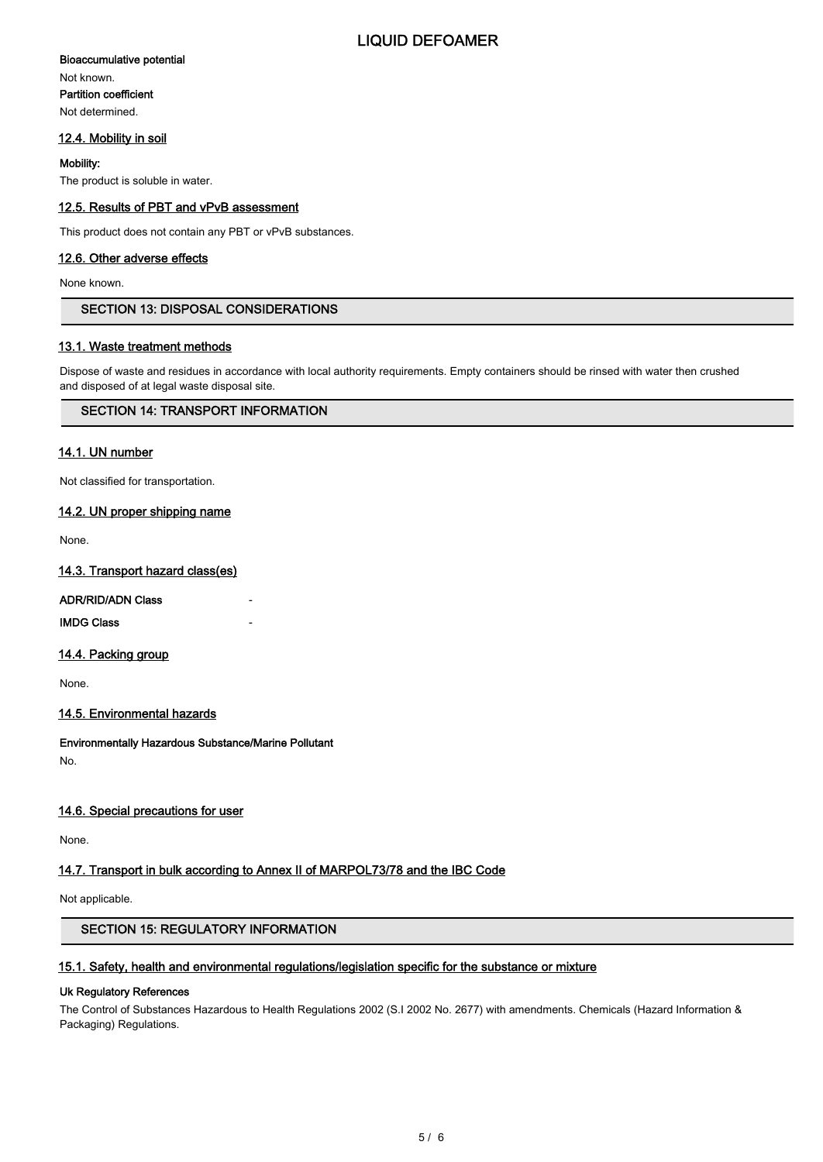# Bioaccumulative potential

Not known. Partition coefficient Not determined.

# 12.4. Mobility in soil

#### Mobility:

The product is soluble in water.

## 12.5. Results of PBT and vPvB assessment

This product does not contain any PBT or vPvB substances.

# 12.6. Other adverse effects

None known.

# SECTION 13: DISPOSAL CONSIDERATIONS

## 13.1. Waste treatment methods

Dispose of waste and residues in accordance with local authority requirements. Empty containers should be rinsed with water then crushed and disposed of at legal waste disposal site.

# SECTION 14: TRANSPORT INFORMATION

#### 14.1. UN number

Not classified for transportation.

## 14.2. UN proper shipping name

None.

#### 14.3. Transport hazard class(es)

#### ADR/RID/ADN Class

**IMDG Class** 

#### 14.4. Packing group

None.

# 14.5. Environmental hazards

Environmentally Hazardous Substance/Marine Pollutant No.

# 14.6. Special precautions for user

None.

# 14.7. Transport in bulk according to Annex II of MARPOL73/78 and the IBC Code

Not applicable.

# SECTION 15: REGULATORY INFORMATION

#### 15.1. Safety, health and environmental regulations/legislation specific for the substance or mixture

## Uk Regulatory References

The Control of Substances Hazardous to Health Regulations 2002 (S.I 2002 No. 2677) with amendments. Chemicals (Hazard Information & Packaging) Regulations.